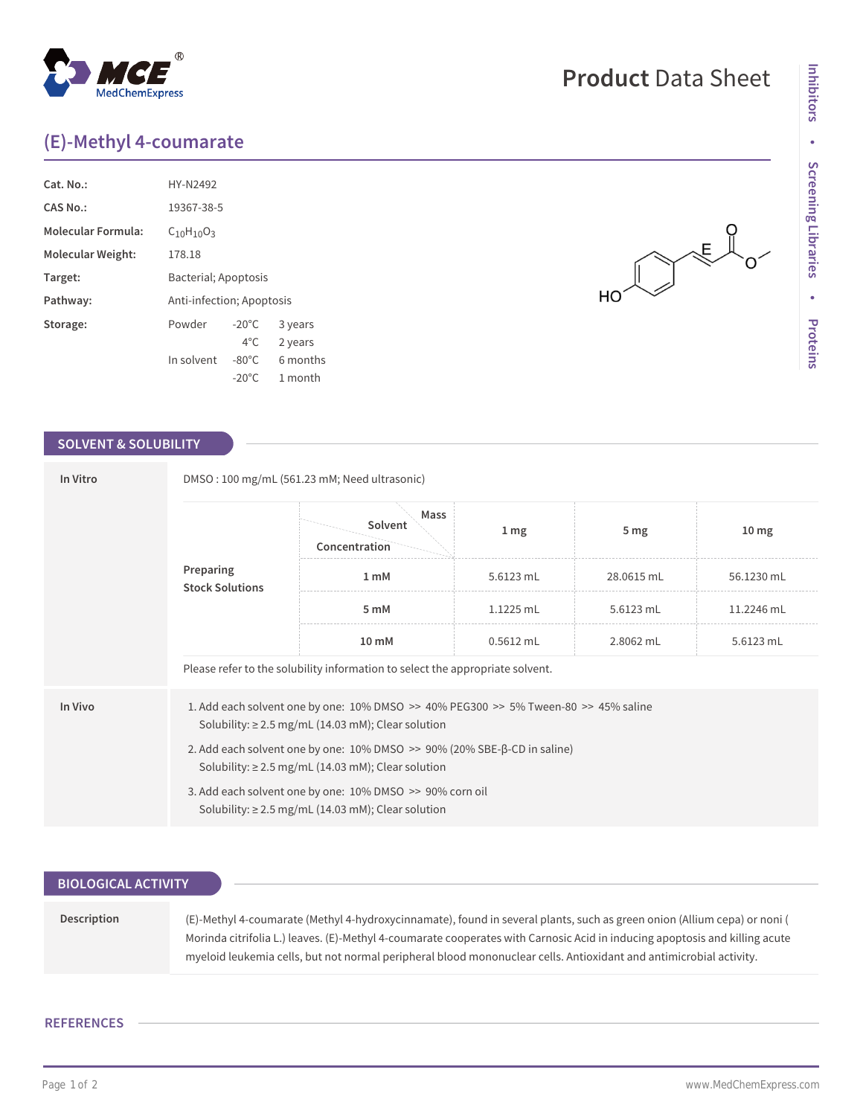## **(E)-Methyl 4-coumarate**

| Cat. No.:                 | HY-N2492                  |                 |          |  |  |
|---------------------------|---------------------------|-----------------|----------|--|--|
|                           |                           |                 |          |  |  |
| <b>CAS No.:</b>           | 19367-38-5                |                 |          |  |  |
| <b>Molecular Formula:</b> | $C_{10}H_{10}O_3$         |                 |          |  |  |
| Molecular Weight:         | 178.18                    |                 |          |  |  |
| Target:                   | Bacterial; Apoptosis      |                 |          |  |  |
| Pathway:                  | Anti-infection; Apoptosis |                 |          |  |  |
| Storage:                  | Powder                    | $-20^{\circ}$ C | 3 years  |  |  |
|                           |                           | $4^{\circ}$ C   | 2 years  |  |  |
|                           | In solvent                | $-80^{\circ}$ C | 6 months |  |  |
|                           |                           | $-20^{\circ}$ C | 1 month  |  |  |

## **SOLVENT & SOLUBILITY**

| In Vitro  | DMSO: 100 mg/mL (561.23 mM; Need ultrasonic)                                                                                                      |                                                                                                                                                |                  |                 |                  |  |  |
|-----------|---------------------------------------------------------------------------------------------------------------------------------------------------|------------------------------------------------------------------------------------------------------------------------------------------------|------------------|-----------------|------------------|--|--|
| Preparing | <b>Stock Solutions</b>                                                                                                                            | Mass<br>Solvent<br>Concentration                                                                                                               | $1 \, \text{mg}$ | 5 <sub>mg</sub> | 10 <sub>mg</sub> |  |  |
|           |                                                                                                                                                   | 1 <sub>m</sub> M                                                                                                                               | 5.6123 mL        | 28.0615 mL      | 56.1230 mL       |  |  |
|           |                                                                                                                                                   | 5 mM                                                                                                                                           | $1.1225$ mL      | 5.6123 mL       | 11.2246 mL       |  |  |
|           |                                                                                                                                                   | 10 mM                                                                                                                                          | $0.5612$ mL      | 2.8062 mL       | 5.6123 mL        |  |  |
|           | Please refer to the solubility information to select the appropriate solvent.                                                                     |                                                                                                                                                |                  |                 |                  |  |  |
| In Vivo   |                                                                                                                                                   | 1. Add each solvent one by one: 10% DMSO >> 40% PEG300 >> 5% Tween-80 >> 45% saline<br>Solubility: $\geq$ 2.5 mg/mL (14.03 mM); Clear solution |                  |                 |                  |  |  |
|           | 2. Add each solvent one by one: $10\%$ DMSO $\gg$ 90% (20% SBE- $\beta$ -CD in saline)<br>Solubility: $\geq$ 2.5 mg/mL (14.03 mM); Clear solution |                                                                                                                                                |                  |                 |                  |  |  |
|           | 3. Add each solvent one by one: 10% DMSO >> 90% corn oil<br>Solubility: $\geq$ 2.5 mg/mL (14.03 mM); Clear solution                               |                                                                                                                                                |                  |                 |                  |  |  |

| <b>BIOLOGICAL ACTIVITY</b> |                                                                                                                                                                                                                                                                                                                                                                               |
|----------------------------|-------------------------------------------------------------------------------------------------------------------------------------------------------------------------------------------------------------------------------------------------------------------------------------------------------------------------------------------------------------------------------|
|                            |                                                                                                                                                                                                                                                                                                                                                                               |
| <b>Description</b>         | (E)-Methyl 4-coumarate (Methyl 4-hydroxycinnamate), found in several plants, such as green onion (Allium cepa) or noni (<br>Morinda citrifolia L.) leaves. (E)-Methyl 4-coumarate cooperates with Carnosic Acid in inducing apoptosis and killing acute<br>myeloid leukemia cells, but not normal peripheral blood mononuclear cells. Antioxidant and antimicrobial activity. |

## **REFERENCES**

 $\begin{picture}(120,110) \put(0,0){\line(1,0){10}} \put(15,0){\line(1,0){10}} \put(15,0){\line(1,0){10}} \put(15,0){\line(1,0){10}} \put(15,0){\line(1,0){10}} \put(15,0){\line(1,0){10}} \put(15,0){\line(1,0){10}} \put(15,0){\line(1,0){10}} \put(15,0){\line(1,0){10}} \put(15,0){\line(1,0){10}} \put(15,0){\line(1,0){10}} \put(15,0){\line$ 

 $HO^{\prime}$ 

 $\overline{O}$